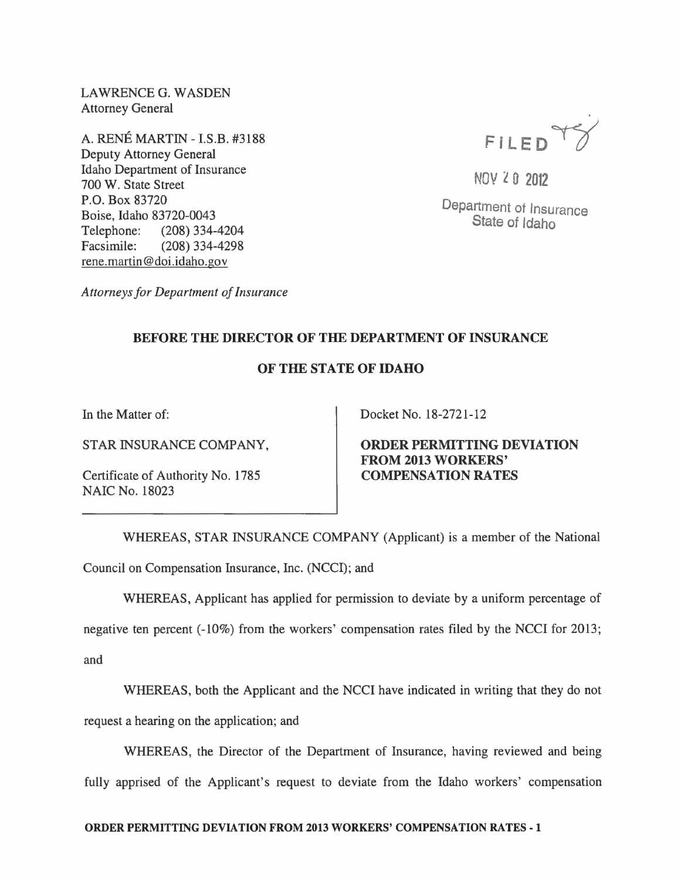LAWRENCEG. WASDEN Attorney General

A. RENE MARTIN - LS.B. #3188 Deputy Attorney General Idaho Department of Insurance 700 W. State Street P.O. Box 83720 Boise, Idaho 83720-0043 Telephone: (208) 334-4204<br>Facsimile: (208) 334-4298 (208) 334-4298 rene.martin@doi.idaho.gov

FILED 1(/

NOV 20 2012

Department ot Insurance State of Idaho

*Attorneys for Department of Insurance* 

## BEFORE THE DIRECTOR OF THE DEPARTMENT OF INSURANCE

## OF THE STATE OF IDAHO

In the Matter of:

STAR INSURANCE COMPANY,

Certificate of Authority No. 1785 NAIC No. 18023

Docket No. 18-2721-12

ORDER PERMITTING DEVIATION FROM 2013 WORKERS' COMPENSATION RATES

WHEREAS, STAR INSURANCE COMPANY (Applicant) is a member of the National Council on Compensation Insurance, Inc. (NCCI); and

WHEREAS, Applicant has applied for permission to deviate by a uniform percentage of

negative ten percent (-10%) from the workers' compensation rates filed by the NCCI for 2013; and

WHEREAS, both the Applicant and the NCCI have indicated in writing that they do not request a hearing on the application; and

WHEREAS, the Director of the Department of Insurance, having reviewed and being fully apprised of the Applicant's request to deviate from the Idaho workers' compensation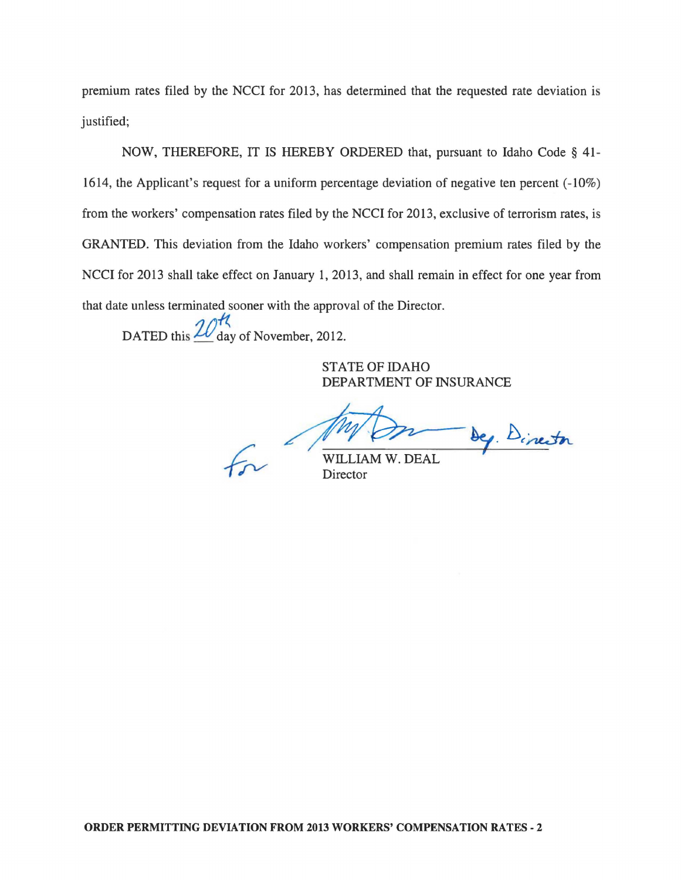premium rates filed by the NCCI for 2013, has determined that the requested rate deviation is justified;

NOW, THEREFORE, IT IS HEREBY ORDERED that, pursuant to Idaho Code § 41 - 1614, the Applicant's request for a uniform percentage deviation of negative ten percent (-10%) from the workers' compensation rates filed by the NCCI for 2013, exclusive of terrorism rates, is GRANTED. This deviation from the Idaho workers' compensation premium rates filed by the NCCI for 2013 shall take effect on January 1, 2013, and shall remain in effect for one year from that date unless terminated sooner with the approval of the Director.

DATED this  $\mathcal{U}_{\text{day of November, 2012.}}^{\mathcal{H}}$ 

STATE OF IDAHO

DEPARTMENT OF INSURANCE . Binector

Director